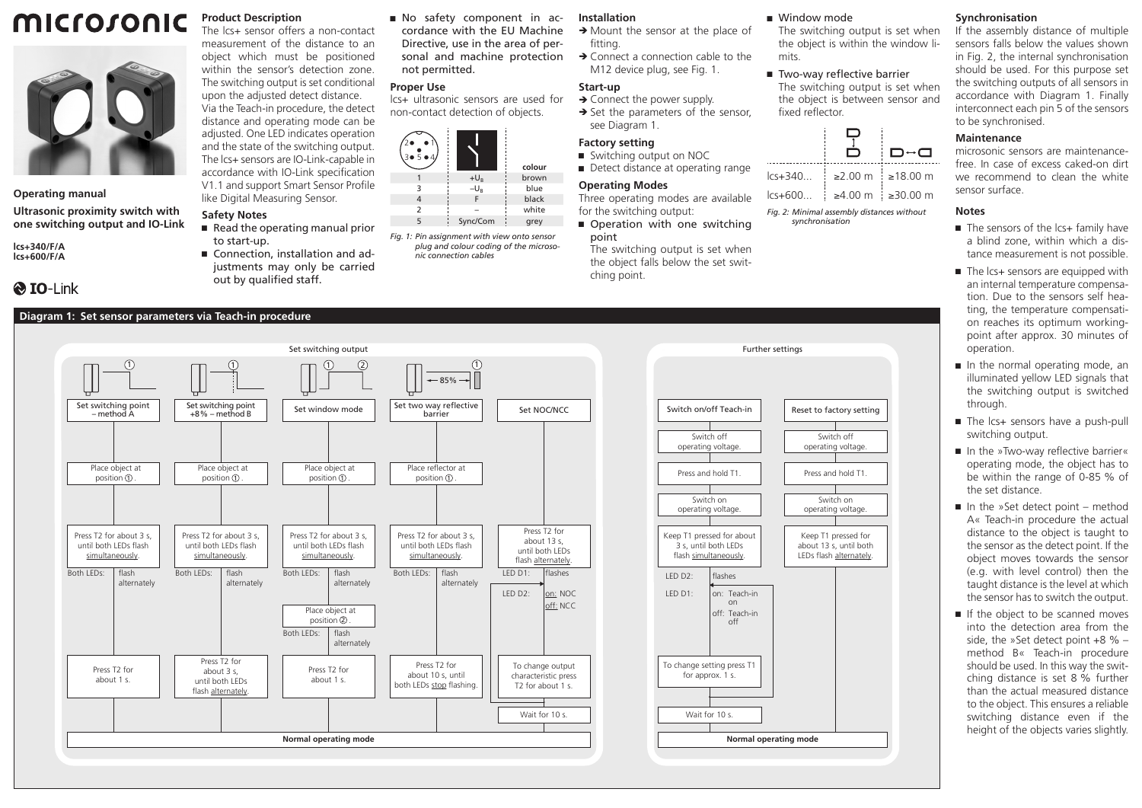# microsonic



**Operating manual**

**Ultrasonic proximity switch with one switching output and IO-Link**

**lcs+340/F/A lcs+600/F/A**

# **& IO-Link**

# **Diagram 1: Set sensor parameters via Teach-in procedure**



Via the Teach-in procedure, the detect distance and operating mode can be adjusted. One LED indicates operation and the state of the switching output. The lcs+ sensors are IO-Link-capable in accordance with IO-Link specification V1.1 and support Smart Sensor Profile like Digital Measuring Sensor.

### **Safety Notes**

- $\blacksquare$  Read the operating manual prior to start-up.
- Connection, installation and adjustments may only be carried out by qualified staff.

Ԏ No safety component in accordance with the EU Machine Directive, use in the area of personal and machine protection not permitted.

lcs+ ultrasonic sensors are used for non-contact detection of objects.

| 2٠<br>504 |          | colour |
|-----------|----------|--------|
|           | $+U_B$   | brown  |
| 3         | $-U_B$   | blue   |
|           |          | black  |
| 2         |          | white  |
|           | Sync/Com | grey   |

*Fig. 1: Pin assignment with view onto sensor plug and colour coding of the microsonic connection cables*

## **Installation**

- $\rightarrow$  Mount the sensor at the place of fitting.
- $\rightarrow$  Connect a connection cable to the M12 device plug, see Fig. 1.

#### **Start-up**

 $\rightarrow$  Connect the power supply.  $\rightarrow$  Set the parameters of the sensor.

### see Diagram 1. **Factory setting**

- Switching output on NOC
- Detect distance at operating range

#### **Operating Modes**

Three operating modes are available for the switching output: Operation with one switching

point The switching output is set when the object falls below the set switching point.

#### ■ Window mode

The switching output is set when the object is within the window limits.

■ Two-way reflective barrier The switching output is set when the object is between sensor and fixed reflector.





lcs+600... ≥4.00 m ≥30.00 m

*Fig. 2: Minimal assembly distances without synchronisation*

 $\blacksquare$  The sensors of the lcs+ family have a blind zone, within which a distance measurement is not possible.

microsonic sensors are maintenancefree. In case of excess caked-on dirt we recommend to clean the white

If the assembly distance of multiple sensors falls below the values shown in Fig. 2, the internal synchronisation should be used. For this purpose set the switching outputs of all sensors in accordance with Diagram 1. Finally interconnect each pin 5 of the sensors

**Synchronisation**

to be synchronised. **Maintenance**

sensor surface.

**Notes**

- $\blacksquare$  The Ics+ sensors are equipped with an internal temperature compensation. Due to the sensors self heating, the temperature compensation reaches its optimum workingpoint after approx. 30 minutes of operation.
- In the normal operating mode, an illuminated yellow LED signals that the switching output is switched through.
- The Ics+ sensors have a push-pull switching output.
- In the »Two-way reflective barrier« operating mode, the object has to be within the range of 0-85 % of the set distance.
- $\blacksquare$  In the »Set detect point method A« Teach-in procedure the actual distance to the object is taught to the sensor as the detect point. If the object moves towards the sensor (e.g. with level control) then the taught distance is the level at which the sensor has to switch the output.
- If the object to be scanned moves into the detection area from the side, the »Set detect point +8 % – method B« Teach-in procedure should be used. In this way the switching distance is set 8 % further than the actual measured distance to the object. This ensures a reliable switching distance even if the height of the objects varies slightly.